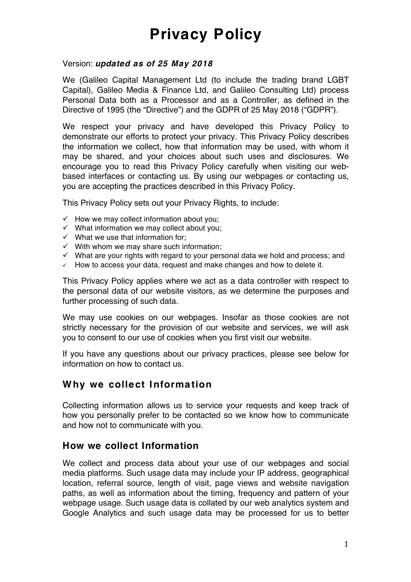#### Version: *updated as of 25 May 2018*

We (Galileo Capital Management Ltd (to include the trading brand LGBT Capital), Galileo Media & Finance Ltd, and Galileo Consulting Ltd) process Personal Data both as a Processor and as a Controller, as defined in the Directive of 1995 (the "Directive") and the GDPR of 25 May 2018 ("GDPR").

We respect your privacy and have developed this Privacy Policy to demonstrate our efforts to protect your privacy. This Privacy Policy describes the information we collect, how that information may be used, with whom it may be shared, and your choices about such uses and disclosures. We encourage you to read this Privacy Policy carefully when visiting our webbased interfaces or contacting us. By using our webpages or contacting us, you are accepting the practices described in this Privacy Policy.

This Privacy Policy sets out your Privacy Rights, to include:

- $\checkmark$  How we may collect information about you;
- $\checkmark$  What information we may collect about you;
- $\checkmark$  What we use that information for;
- $\checkmark$  With whom we may share such information:
- $\checkmark$  What are your rights with regard to your personal data we hold and process; and
- $\checkmark$  How to access your data, request and make changes and how to delete it.

This Privacy Policy applies where we act as a data controller with respect to the personal data of our website visitors, as we determine the purposes and further processing of such data.

We may use cookies on our webpages. Insofar as those cookies are not strictly necessary for the provision of our website and services, we will ask you to consent to our use of cookies when you first visit our website.

If you have any questions about our privacy practices, please see below for information on how to contact us.

### **Why we collect Information**

Collecting information allows us to service your requests and keep track of how you personally prefer to be contacted so we know how to communicate and how not to communicate with you.

#### **How we collect Information**

We collect and process data about your use of our webpages and social media platforms. Such usage data may include your IP address, geographical location, referral source, length of visit, page views and website navigation paths, as well as information about the timing, frequency and pattern of your webpage usage. Such usage data is collated by our web analytics system and Google Analytics and such usage data may be processed for us to better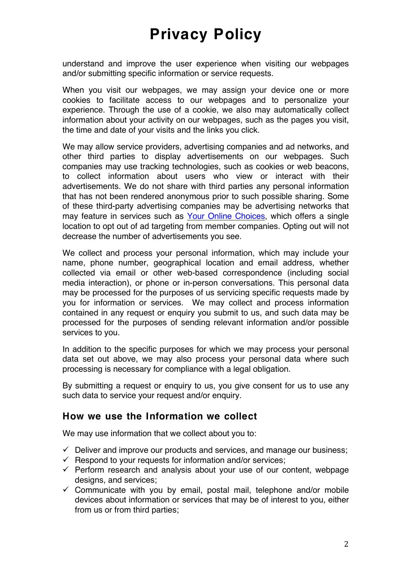understand and improve the user experience when visiting our webpages and/or submitting specific information or service requests.

When you visit our webpages, we may assign your device one or more cookies to facilitate access to our webpages and to personalize your experience. Through the use of a cookie, we also may automatically collect information about your activity on our webpages, such as the pages you visit, the time and date of your visits and the links you click.

We may allow service providers, advertising companies and ad networks, and other third parties to display advertisements on our webpages. Such companies may use tracking technologies, such as cookies or web beacons, to collect information about users who view or interact with their advertisements. We do not share with third parties any personal information that has not been rendered anonymous prior to such possible sharing. Some of these third-party advertising companies may be advertising networks that may feature in services such as [Your Online Choices](http://www.youronlinechoices.com/), which offers a single location to opt out of ad targeting from member companies. Opting out will not decrease the number of advertisements you see.

We collect and process your personal information, which may include your name, phone number, geographical location and email address, whether collected via email or other web-based correspondence (including social media interaction), or phone or in-person conversations. This personal data may be processed for the purposes of us servicing specific requests made by you for information or services. We may collect and process information contained in any request or enquiry you submit to us, and such data may be processed for the purposes of sending relevant information and/or possible services to you.

In addition to the specific purposes for which we may process your personal data set out above, we may also process your personal data where such processing is necessary for compliance with a legal obligation.

By submitting a request or enquiry to us, you give consent for us to use any such data to service your request and/or enquiry.

#### **How we use the Information we collect**

We may use information that we collect about you to:

- $\checkmark$  Deliver and improve our products and services, and manage our business;
- $\checkmark$  Respond to your requests for information and/or services;
- $\checkmark$  Perform research and analysis about your use of our content, webpage designs, and services;
- $\checkmark$  Communicate with you by email, postal mail, telephone and/or mobile devices about information or services that may be of interest to you, either from us or from third parties;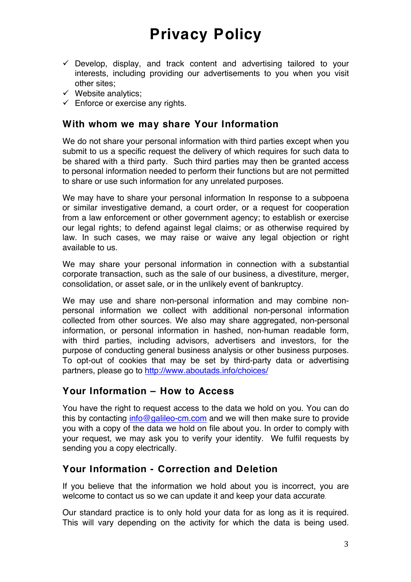- $\checkmark$  Develop, display, and track content and advertising tailored to your interests, including providing our advertisements to you when you visit other sites;
- $\checkmark$  Website analytics;
- $\checkmark$  Enforce or exercise any rights.

#### **With whom we may share Your Information**

We do not share your personal information with third parties except when you submit to us a specific request the delivery of which requires for such data to be shared with a third party. Such third parties may then be granted access to personal information needed to perform their functions but are not permitted to share or use such information for any unrelated purposes.

We may have to share your personal information In response to a subpoena or similar investigative demand, a court order, or a request for cooperation from a law enforcement or other government agency; to establish or exercise our legal rights; to defend against legal claims; or as otherwise required by law. In such cases, we may raise or waive any legal objection or right available to us.

We may share your personal information in connection with a substantial corporate transaction, such as the sale of our business, a divestiture, merger, consolidation, or asset sale, or in the unlikely event of bankruptcy.

We may use and share non-personal information and may combine nonpersonal information we collect with additional non-personal information collected from other sources. We also may share aggregated, non-personal information, or personal information in hashed, non-human readable form, with third parties, including advisors, advertisers and investors, for the purpose of conducting general business analysis or other business purposes. To opt-out of cookies that may be set by third-party data or advertising partners, please go to<http://www.aboutads.info/choices/>

#### **Your Information – How to Access**

You have the right to request access to the data we hold on you. You can do this by contacting [info@galileo-cm.com](mailto:info@galileo-cm.com) and we will then make sure to provide you with a copy of the data we hold on file about you. In order to comply with your request, we may ask you to verify your identity. We fulfil requests by sending you a copy electrically.

### **Your Information - Correction and Deletion**

If you believe that the information we hold about you is incorrect, you are welcome to contact us so we can update it and keep your data accurate.

Our standard practice is to only hold your data for as long as it is required. This will vary depending on the activity for which the data is being used.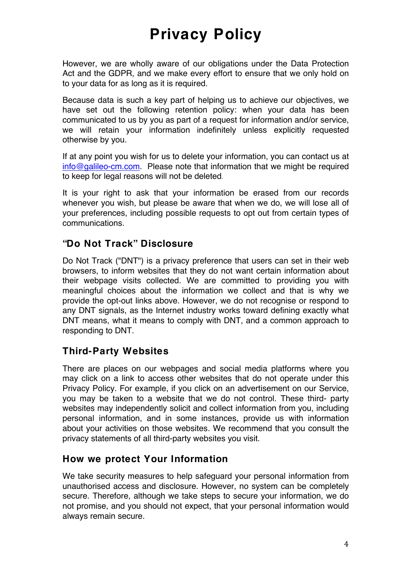However, we are wholly aware of our obligations under the Data Protection Act and the GDPR, and we make every effort to ensure that we only hold on to your data for as long as it is required.

Because data is such a key part of helping us to achieve our objectives, we have set out the following retention policy: when your data has been communicated to us by you as part of a request for information and/or service, we will retain your information indefinitely unless explicitly requested otherwise by you.

If at any point you wish for us to delete your information, you can contact us at [info@galileo-cm.com](mailto:info@galileo-cm.com). Please note that information that we might be required to keep for legal reasons will not be deleted.

It is your right to ask that your information be erased from our records whenever you wish, but please be aware that when we do, we will lose all of your preferences, including possible requests to opt out from certain types of communications.

### **"Do Not Track" Disclosure**

Do Not Track ("DNT") is a privacy preference that users can set in their web browsers, to inform websites that they do not want certain information about their webpage visits collected. We are committed to providing you with meaningful choices about the information we collect and that is why we provide the opt-out links above. However, we do not recognise or respond to any DNT signals, as the Internet industry works toward defining exactly what DNT means, what it means to comply with DNT, and a common approach to responding to DNT.

### **Third-Party Websites**

There are places on our webpages and social media platforms where you may click on a link to access other websites that do not operate under this Privacy Policy. For example, if you click on an advertisement on our Service, you may be taken to a website that we do not control. These third- party websites may independently solicit and collect information from you, including personal information, and in some instances, provide us with information about your activities on those websites. We recommend that you consult the privacy statements of all third-party websites you visit.

#### **How we protect Your Information**

We take security measures to help safeguard your personal information from unauthorised access and disclosure. However, no system can be completely secure. Therefore, although we take steps to secure your information, we do not promise, and you should not expect, that your personal information would always remain secure.